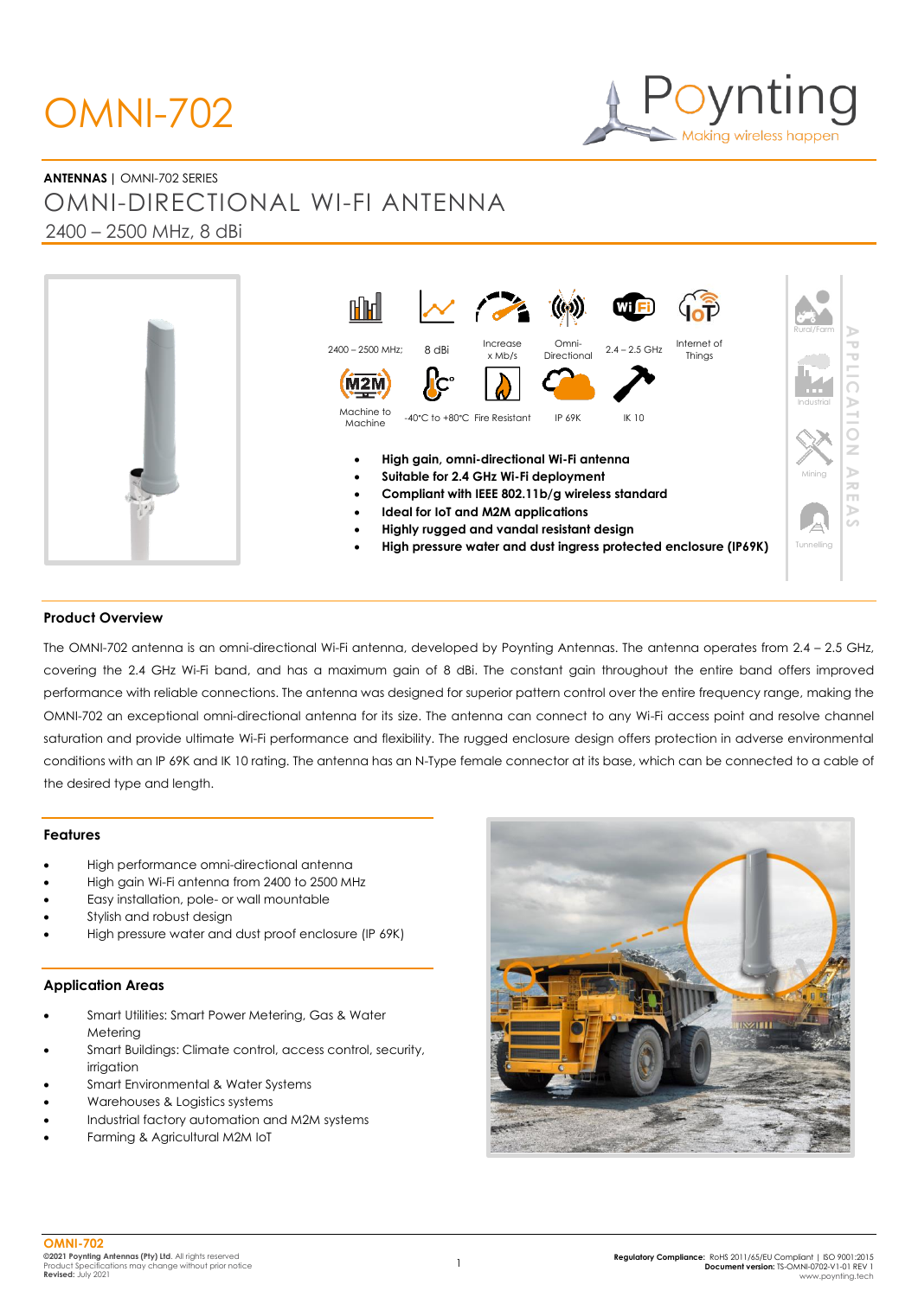# OMNI-702

**ANTENNAS |** OMNI-702 SERIES OMNI-DIRECTIONAL WI-FI ANTENNA 2400 – 2500 MHz, 8 dBi



#### **Product Overview**

The OMNI-702 antenna is an omni-directional Wi-Fi antenna, developed by Poynting Antennas. The antenna operates from 2.4 – 2.5 GHz, covering the 2.4 GHz Wi-Fi band, and has a maximum gain of 8 dBi. The constant gain throughout the entire band offers improved performance with reliable connections. The antenna was designed for superior pattern control over the entire frequency range, making the OMNI-702 an exceptional omni-directional antenna for its size. The antenna can connect to any Wi-Fi access point and resolve channel saturation and provide ultimate Wi-Fi performance and flexibility. The rugged enclosure design offers protection in adverse environmental conditions with an IP 69K and IK 10 rating. The antenna has an N-Type female connector at its base, which can be connected to a cable of the desired type and length.

#### **Features**

- High performance omni-directional antenna
- High gain Wi-Fi antenna from 2400 to 2500 MHz
- Easy installation, pole- or wall mountable
- Stylish and robust design
- High pressure water and dust proof enclosure (IP 69K)

#### **Application Areas**

- Smart Utilities: Smart Power Metering, Gas & Water Metering
- Smart Buildings: Climate control, access control, security, irrigation
- Smart Environmental & Water Systems
- Warehouses & Logistics systems
- Industrial factory automation and M2M systems
- Farming & Agricultural M2M IoT

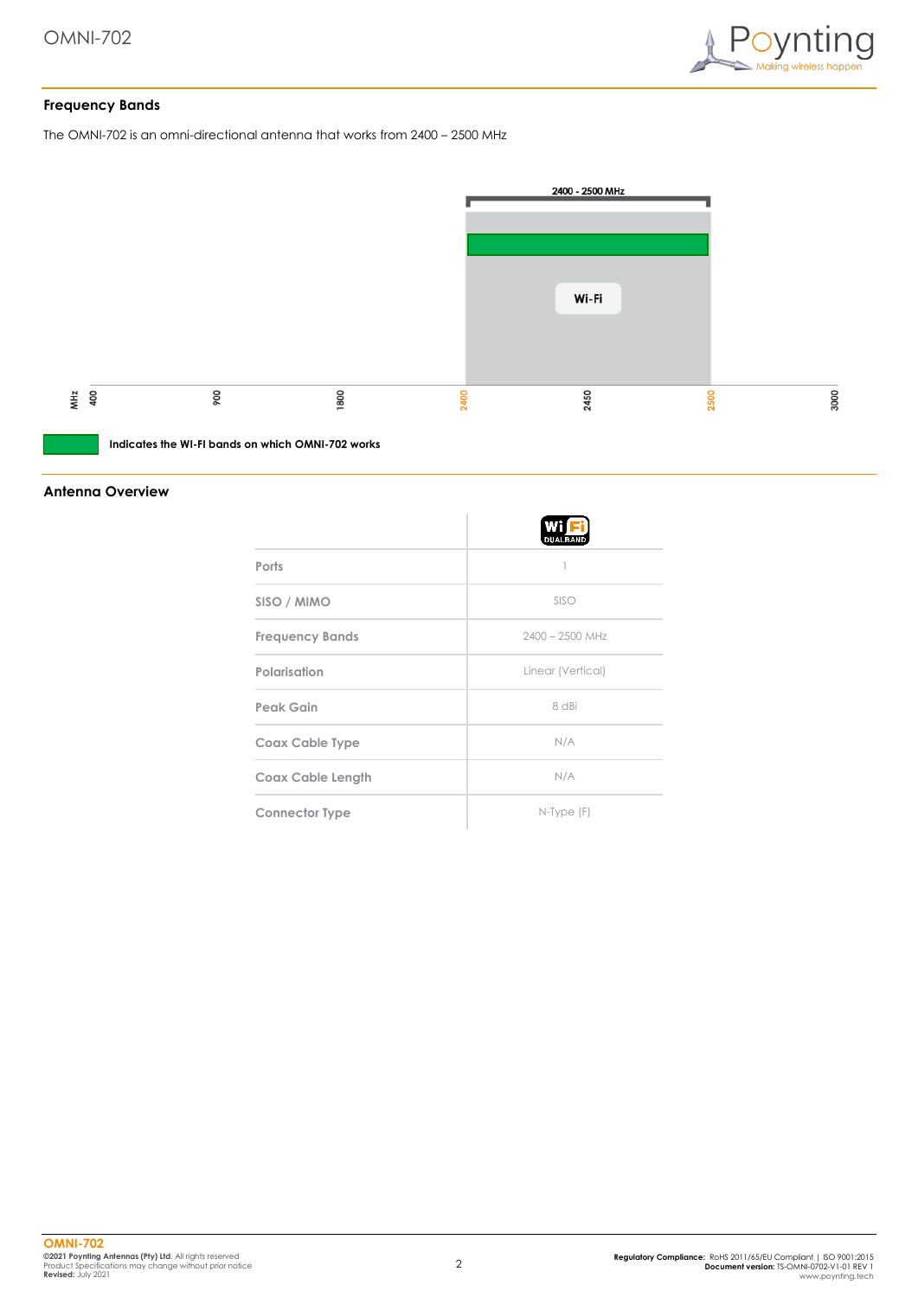

#### **Frequency Bands**

The OMNI-702 is an omni-directional antenna that works from 2400 – 2500 MHz



**Indicates the WI-FI bands on which OMNI-702 works**

#### **Antenna Overview**

|                          | W<br><b>DUALBAND</b> |
|--------------------------|----------------------|
| Ports                    |                      |
| SISO / MIMO              | SISO                 |
| <b>Frequency Bands</b>   | $2400 - 2500$ MHz    |
| Polarisation             | Linear (Vertical)    |
| Peak Gain                | 8 dBi                |
| <b>Coax Cable Type</b>   | N/A                  |
| <b>Coax Cable Length</b> | N/A                  |
| <b>Connector Type</b>    | $N$ -Type $(F)$      |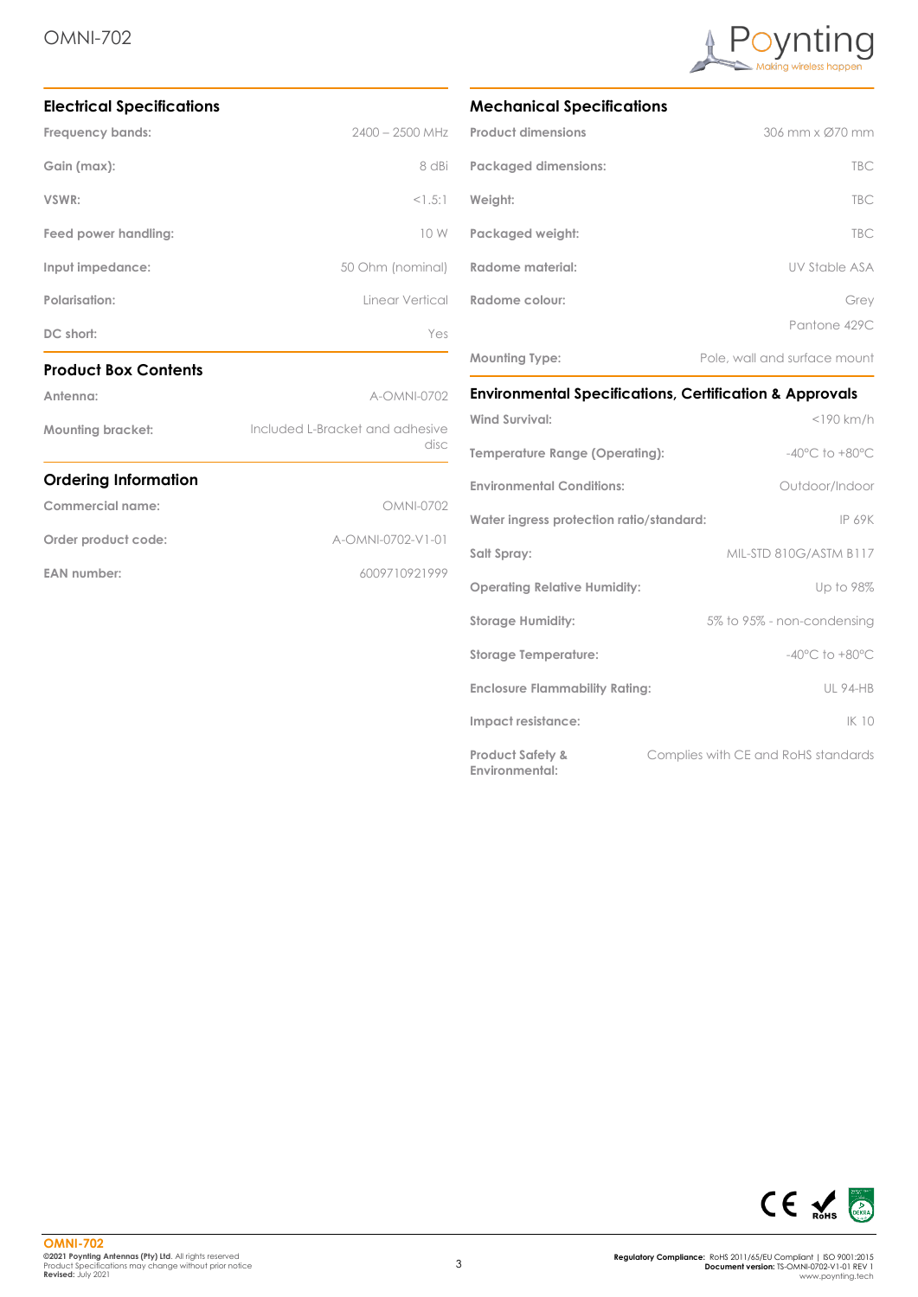

| <b>Electrical Specifications</b> |                                         |  |
|----------------------------------|-----------------------------------------|--|
| Frequency bands:                 | $2400 - 2500$ MHz                       |  |
| Gain (max):                      | 8 dBi                                   |  |
| VSWR:                            | <1.5:1                                  |  |
| Feed power handling:             | 10 W                                    |  |
| Input impedance:                 | 50 Ohm (nominal)                        |  |
| Polarisation:                    | Linear Vertical                         |  |
| DC short:                        | Yes                                     |  |
| <b>Product Box Contents</b>      |                                         |  |
| Antenna:                         | A-OMNI-0702                             |  |
| <b>Mounting bracket:</b>         | Included L-Bracket and adhesive<br>disc |  |
| <b>Ordering Information</b>      |                                         |  |
| Commercial name:                 | <b>OMNI-0702</b>                        |  |
| Order product code:              | A-OMNI-0702-V1-01                       |  |
|                                  |                                         |  |
| <b>EAN</b> number:               | 6009710921999                           |  |

## **Mechanical Specifications**

| <b>Product dimensions</b>   | 306 mm x Ø70 mm              |
|-----------------------------|------------------------------|
| <b>Packaged dimensions:</b> | <b>TBC</b>                   |
| Weight:                     | <b>TBC</b>                   |
| Packaged weight:            | <b>TBC</b>                   |
| Radome material:            | <b>UV Stable ASA</b>         |
| Radome colour:              | Grey                         |
|                             | Pantone 429C                 |
| <b>Mounting Type:</b>       | Pole, wall and surface mount |

# **Environmental Specifications, Certification & Approvals**

| <b>Wind Survival:</b>                         | $<$ 190 km/h                        |
|-----------------------------------------------|-------------------------------------|
| Temperature Range (Operating):                | $-40^{\circ}$ C to $+80^{\circ}$ C  |
| <b>Environmental Conditions:</b>              | Outdoor/Indoor                      |
| Water ingress protection ratio/standard:      | <b>IP 69K</b>                       |
| Salt Spray:                                   | MIL-STD 810G/ASTM B117              |
| <b>Operating Relative Humidity:</b>           | Up to 98%                           |
| <b>Storage Humidity:</b>                      | 5% to 95% - non-condensing          |
| <b>Storage Temperature:</b>                   | $-40^{\circ}$ C to $+80^{\circ}$ C  |
| <b>Enclosure Flammability Rating:</b>         | <b>UL 94-HB</b>                     |
| Impact resistance:                            | IK 10                               |
| <b>Product Safety &amp;</b><br>Environmental: | Complies with CE and RoHS standards |

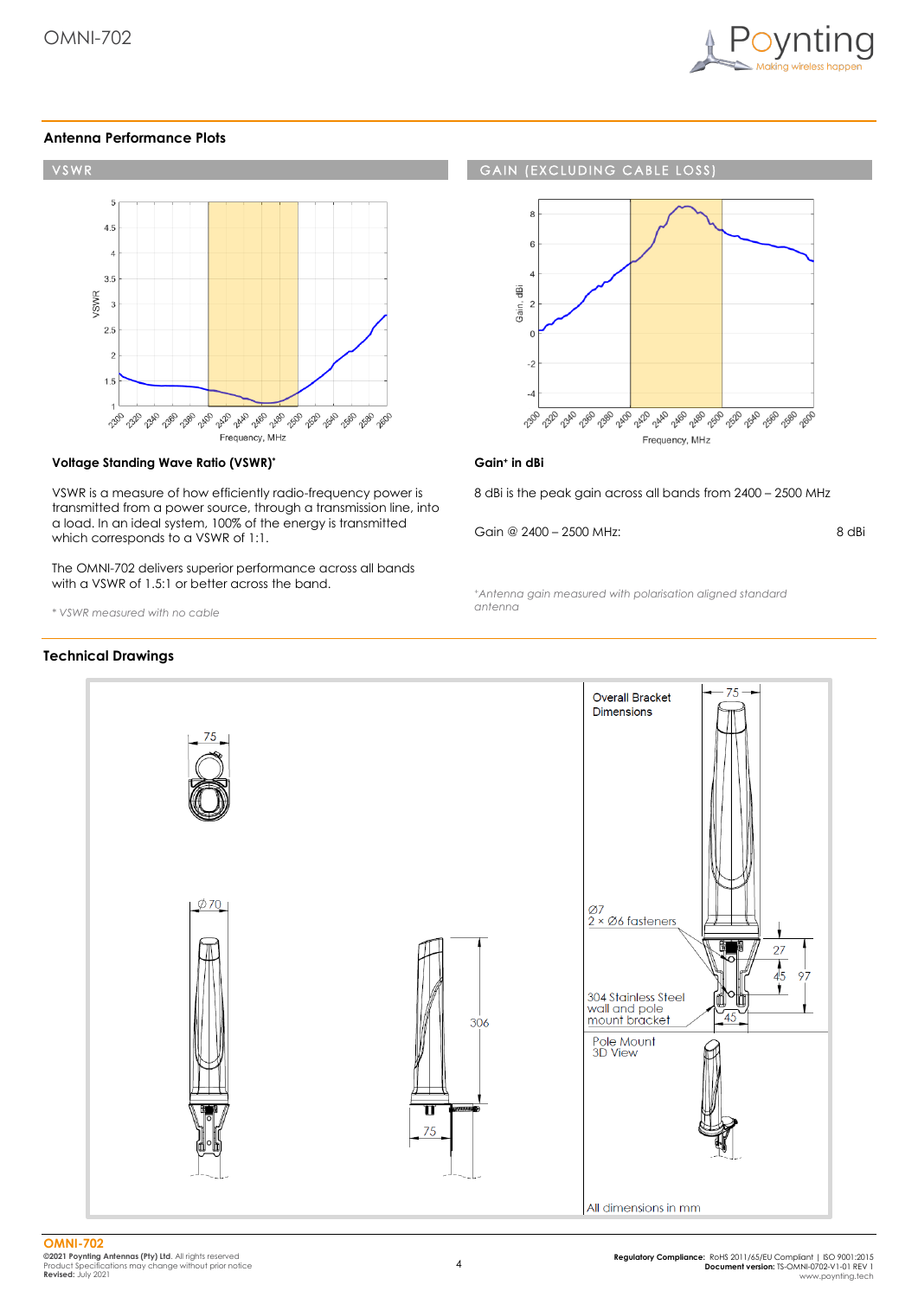

#### **Antenna Performance Plots**



#### **Voltage Standing Wave Ratio (VSWR)\***

VSWR is a measure of how efficiently radio-frequency power is transmitted from a power source, through a transmission line, into a load. In an ideal system, 100% of the energy is transmitted which corresponds to a VSWR of 1:1.

The OMNI-702 delivers superior performance across all bands with a VSWR of 1.5:1 or better across the band.

*\* VSWR measured with no cable*

#### **Technical Drawings**

#### **GAIN (EXCLUDING CABLE LOSS)**



#### **Gain<sup>+</sup> in dBi**

8 dBi is the peak gain across all bands from 2400 – 2500 MHz

Gain @ 2400 – 2500 MHz:

8 dBi

*<sup>+</sup>Antenna gain measured with polarisation aligned standard antenna*

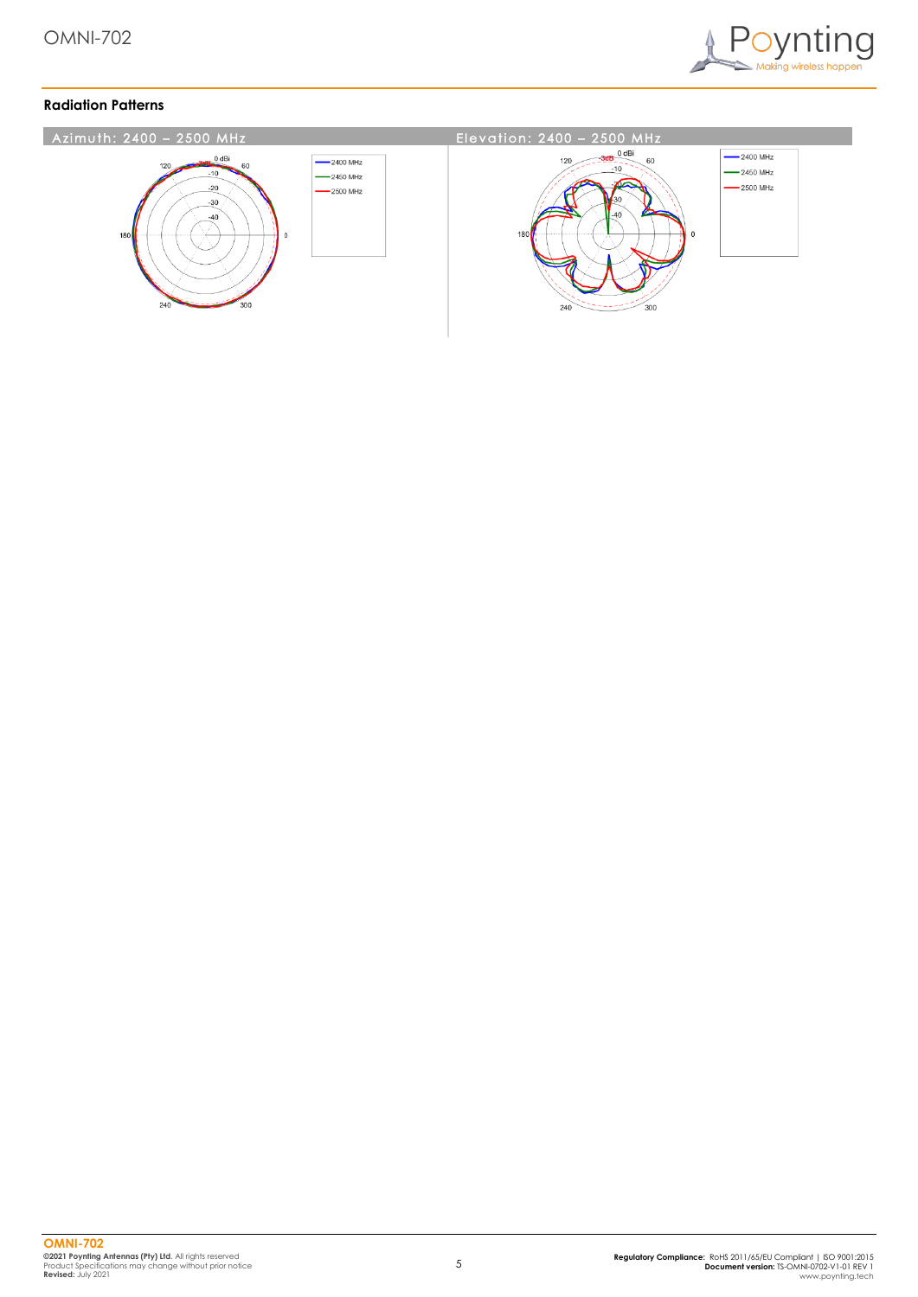

## **Radiation Patterns**

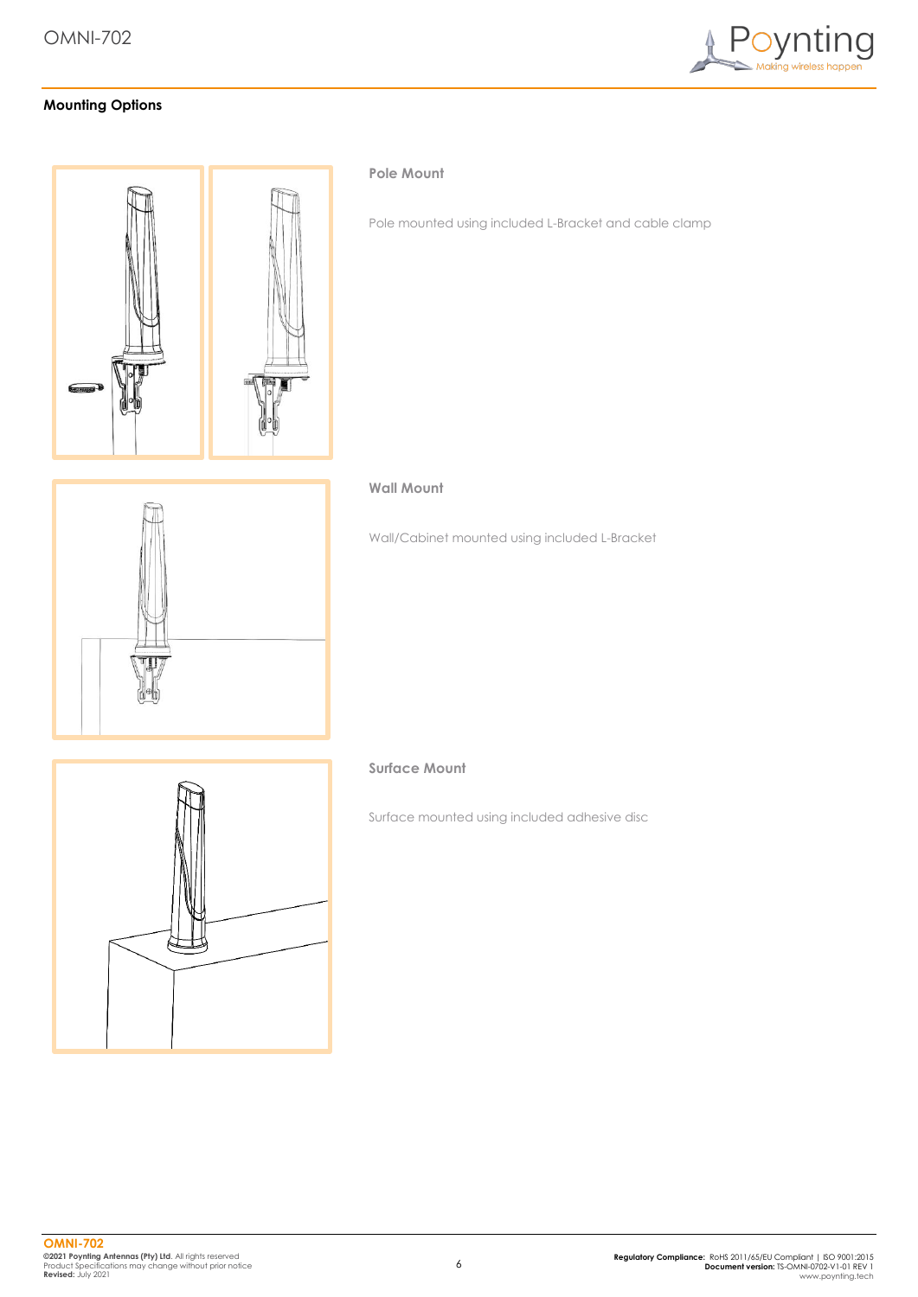

# **Mounting Options**



#### **Pole Mount**

Pole mounted using included L-Bracket and cable clamp

#### **Wall Mount**

Wall/Cabinet mounted using included L-Bracket



# **Surface Mount**

Surface mounted using included adhesive disc